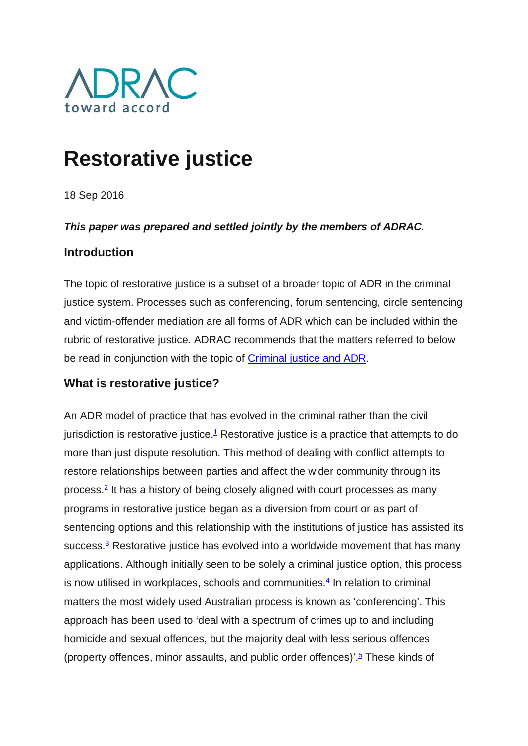

# **Restorative justice**

18 Sep 2016

#### *This paper was prepared and settled jointly by the members of ADRAC.*

#### **Introduction**

The topic of restorative justice is a subset of a broader topic of ADR in the criminal justice system. Processes such as conferencing, forum sentencing, circle sentencing and victim-offender mediation are all forms of ADR which can be included within the rubric of restorative justice. ADRAC recommends that the matters referred to below be read in conjunction with the topic of Criminal justice and ADR.

### **What is restorative justice?**

An ADR model of practice that has evolved in the criminal rather than the civil jurisdiction is restorative justice.<sup>1</sup> Restorative justice is a practice that attempts to do more than just dispute resolution. This method of dealing with conflict attempts to restore relationships between parties and affect the wider community through its process[.2](http://www.adrac.org.au/adr-mapping/restorative-justice#note2) It has a history of being closely aligned with court processes as many programs in restorative justice began as a diversion from court or as part of sentencing options and this relationship with the institutions of justice has assisted its success. $3$  Restorative justice has evolved into a worldwide movement that has many applications. Although initially seen to be solely a criminal justice option, this process is now utilised in workplaces, schools and communities. $4$  In relation to criminal matters the most widely used Australian process is known as 'conferencing'. This approach has been used to 'deal with a spectrum of crimes up to and including homicide and sexual offences, but the majority deal with less serious offences (property offences, minor assaults, and public order offences)'.<sup>5</sup> These kinds of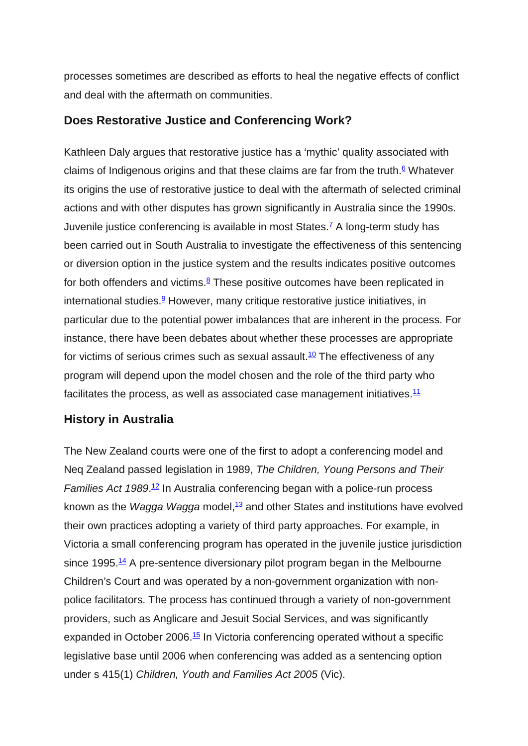processes sometimes are described as efforts to heal the negative effects of conflict and deal with the aftermath on communities.

#### **Does Restorative Justice and Conferencing Work?**

Kathleen Daly argues that restorative justice has a 'mythic' quality associated with claims of Indigenous origins and that these claims are far from the truth. $6$  Whatever its origins the use of restorative justice to deal with the aftermath of selected criminal actions and with other disputes has grown significantly in Australia since the 1990s. Juvenile justice conferencing is available in most States.<sup>7</sup> A long-term study has been carried out in South Australia to investigate the effectiveness of this sentencing or diversion option in the justice system and the results indicates positive outcomes for both offenders and victims. $8$  These positive outcomes have been replicated in international studies.<sup>9</sup> However, many critique restorative justice initiatives, in particular due to the potential power imbalances that are inherent in the process. For instance, there have been debates about whether these processes are appropriate for victims of serious crimes such as sexual assault.<sup>10</sup> The effectiveness of any program will depend upon the model chosen and the role of the third party who facilitates the process, as well as associated case management initiatives. $11$ 

#### **History in Australia**

The New Zealand courts were one of the first to adopt a conferencing model and Neq Zealand passed legislation in 1989, *The Children, Young Persons and Their*  Families Act 1989.<sup>[12](http://www.adrac.org.au/adr-mapping/restorative-justice#note12)</sup> In Australia conferencing began with a police-run process known as the *Wagga Wagga* model,<sup>13</sup> and other States and institutions have evolved their own practices adopting a variety of third party approaches. For example, in Victoria a small conferencing program has operated in the juvenile justice jurisdiction since 1995. $\frac{14}{1}$  A pre-sentence diversionary pilot program began in the Melbourne Children's Court and was operated by a non-government organization with nonpolice facilitators. The process has continued through a variety of non-government providers, such as Anglicare and Jesuit Social Services, and was significantly expanded in October 2006.<sup>15</sup> In Victoria conferencing operated without a specific legislative base until 2006 when conferencing was added as a sentencing option under s 415(1) *Children, Youth and Families Act 2005* (Vic).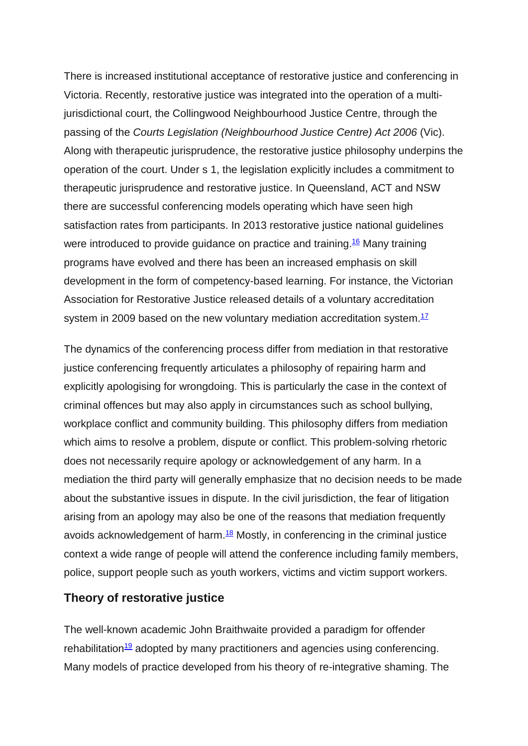There is increased institutional acceptance of restorative justice and conferencing in Victoria. Recently, restorative justice was integrated into the operation of a multijurisdictional court, the Collingwood Neighbourhood Justice Centre, through the passing of the *Courts Legislation (Neighbourhood Justice Centre) Act 2006* (Vic). Along with therapeutic jurisprudence, the restorative justice philosophy underpins the operation of the court. Under s 1, the legislation explicitly includes a commitment to therapeutic jurisprudence and restorative justice. In Queensland, ACT and NSW there are successful conferencing models operating which have seen high satisfaction rates from participants. In 2013 restorative justice national guidelines were introduced to provide guidance on practice and training.<sup>16</sup> Many training programs have evolved and there has been an increased emphasis on skill development in the form of competency-based learning. For instance, the Victorian Association for Restorative Justice released details of a voluntary accreditation system in 2009 based on the new voluntary mediation accreditation system.<sup>17</sup>

The dynamics of the conferencing process differ from mediation in that restorative justice conferencing frequently articulates a philosophy of repairing harm and explicitly apologising for wrongdoing. This is particularly the case in the context of criminal offences but may also apply in circumstances such as school bullying, workplace conflict and community building. This philosophy differs from mediation which aims to resolve a problem, dispute or conflict. This problem-solving rhetoric does not necessarily require apology or acknowledgement of any harm. In a mediation the third party will generally emphasize that no decision needs to be made about the substantive issues in dispute. In the civil jurisdiction, the fear of litigation arising from an apology may also be one of the reasons that mediation frequently avoids acknowledgement of harm.<sup>18</sup> Mostly, in conferencing in the criminal justice context a wide range of people will attend the conference including family members, police, support people such as youth workers, victims and victim support workers.

#### **Theory of restorative justice**

The well-known academic John Braithwaite provided a paradigm for offender rehabilitation<sup>19</sup> adopted by many practitioners and agencies using conferencing. Many models of practice developed from his theory of re-integrative shaming. The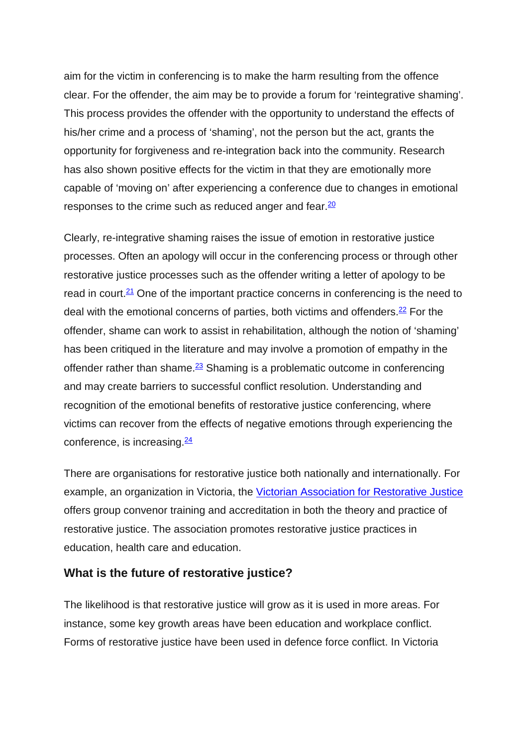aim for the victim in conferencing is to make the harm resulting from the offence clear. For the offender, the aim may be to provide a forum for 'reintegrative shaming'. This process provides the offender with the opportunity to understand the effects of his/her crime and a process of 'shaming', not the person but the act, grants the opportunity for forgiveness and re-integration back into the community. Research has also shown positive effects for the victim in that they are emotionally more capable of 'moving on' after experiencing a conference due to changes in emotional responses to the crime such as reduced anger and fear. $\frac{20}{20}$ 

Clearly, re-integrative shaming raises the issue of emotion in restorative justice processes. Often an apology will occur in the conferencing process or through other restorative justice processes such as the offender writing a letter of apology to be read in court. $21$  One of the important practice concerns in conferencing is the need to deal with the emotional concerns of parties, both victims and offenders. $\frac{22}{3}$  For the offender, shame can work to assist in rehabilitation, although the notion of 'shaming' has been critiqued in the literature and may involve a promotion of empathy in the offender rather than shame. $\frac{23}{5}$  Shaming is a problematic outcome in conferencing and may create barriers to successful conflict resolution. Understanding and recognition of the emotional benefits of restorative justice conferencing, where victims can recover from the effects of negative emotions through experiencing the conference, is increasing. $\frac{24}{3}$ 

There are organisations for restorative justice both nationally and internationally. For example, an organization in Victoria, the [Victorian Association for Restorative Justice](http://www.adrac.org.au/adr-mapping/www.varj.asn.au) offers group convenor training and accreditation in both the theory and practice of restorative justice. The association promotes restorative justice practices in education, health care and education.

#### **What is the future of restorative justice?**

The likelihood is that restorative justice will grow as it is used in more areas. For instance, some key growth areas have been education and workplace conflict. Forms of restorative justice have been used in defence force conflict. In Victoria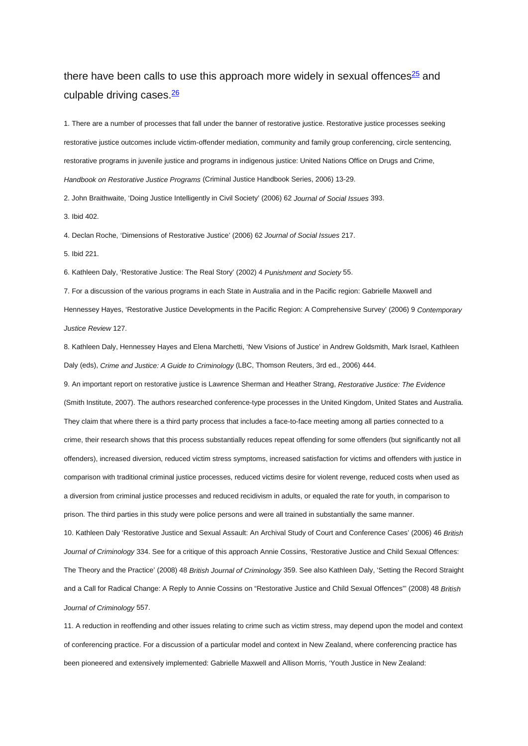## there have been calls to use this approach more widely in sexual offences $\frac{25}{2}$  and culpable driving cases.<sup>26</sup>

1. There are a number of processes that fall under the banner of restorative justice. Restorative justice processes seeking restorative justice outcomes include victim-offender mediation, community and family group conferencing, circle sentencing, restorative programs in juvenile justice and programs in indigenous justice: United Nations Office on Drugs and Crime, *Handbook on Restorative Justice Programs* (Criminal Justice Handbook Series, 2006) 13-29.

2. John Braithwaite, 'Doing Justice Intelligently in Civil Society' (2006) 62 *Journal of Social Issues* 393.

3. Ibid 402.

4. Declan Roche, 'Dimensions of Restorative Justice' (2006) 62 *Journal of Social Issues* 217.

5. Ibid 221.

6. Kathleen Daly, 'Restorative Justice: The Real Story' (2002) 4 *Punishment and Society* 55.

7. For a discussion of the various programs in each State in Australia and in the Pacific region: Gabrielle Maxwell and Hennessey Hayes, 'Restorative Justice Developments in the Pacific Region: A Comprehensive Survey' (2006) 9 *Contemporary Justice Review* 127.

8. Kathleen Daly, Hennessey Hayes and Elena Marchetti, 'New Visions of Justice' in Andrew Goldsmith, Mark Israel, Kathleen Daly (eds), *Crime and Justice: A Guide to Criminology* (LBC, Thomson Reuters, 3rd ed., 2006) 444.

9. An important report on restorative justice is Lawrence Sherman and Heather Strang, *Restorative Justice: The Evidence* (Smith Institute, 2007). The authors researched conference-type processes in the United Kingdom, United States and Australia. They claim that where there is a third party process that includes a face-to-face meeting among all parties connected to a crime, their research shows that this process substantially reduces repeat offending for some offenders (but significantly not all offenders), increased diversion, reduced victim stress symptoms, increased satisfaction for victims and offenders with justice in comparison with traditional criminal justice processes, reduced victims desire for violent revenge, reduced costs when used as a diversion from criminal justice processes and reduced recidivism in adults, or equaled the rate for youth, in comparison to prison. The third parties in this study were police persons and were all trained in substantially the same manner. 10. Kathleen Daly 'Restorative Justice and Sexual Assault: An Archival Study of Court and Conference Cases' (2006) 46 *British Journal of Criminology* 334. See for a critique of this approach Annie Cossins, 'Restorative Justice and Child Sexual Offences: The Theory and the Practice' (2008) 48 *British Journal of Criminology* 359. See also Kathleen Daly, 'Setting the Record Straight and a Call for Radical Change: A Reply to Annie Cossins on "Restorative Justice and Child Sexual Offences"' (2008) 48 *British Journal of Criminology* 557.

11. A reduction in reoffending and other issues relating to crime such as victim stress, may depend upon the model and context of conferencing practice. For a discussion of a particular model and context in New Zealand, where conferencing practice has been pioneered and extensively implemented: Gabrielle Maxwell and Allison Morris, 'Youth Justice in New Zealand: